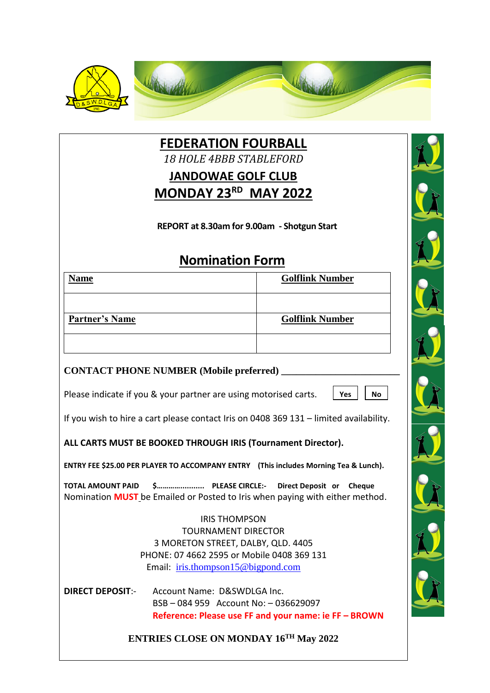

**FEDERATION FOURBALL** *18 HOLE 4BBB STABLEFORD* **JANDOWAE GOLF CLUB MONDAY 23RD MAY 2022**

**REPORT at 8.30am for 9.00am - Shotgun Start**

## **Nomination Form**

| <b>Name</b>           | <b>Golflink Number</b> |
|-----------------------|------------------------|
|                       |                        |
| <b>Partner's Name</b> | <b>Golflink Number</b> |
|                       |                        |

## **CONTACT PHONE NUMBER (Mobile preferred) \_\_\_\_\_\_\_\_\_\_\_\_\_\_\_\_\_\_\_\_\_\_\_\_**

Please indicate if you & your partner are using motorised carts.

**Yes No**

If you wish to hire a cart please contact Iris on 0408 369 131 – limited availability.

**ALL CARTS MUST BE BOOKED THROUGH IRIS (Tournament Director).**

**ENTRY FEE \$25.00 PER PLAYER TO ACCOMPANY ENTRY (This includes Morning Tea & Lunch).** 

**TOTAL AMOUNT PAID \$…………........... PLEASE CIRCLE:- Direct Deposit or Cheque** Nomination **MUST** be Emailed or Posted to Iris when paying with either method.

> IRIS THOMPSON TOURNAMENT DIRECTOR 3 MORETON STREET, DALBY, QLD. 4405 PHONE: 07 4662 2595 or Mobile 0408 369 131 Email: [iris.thompson15@bigpond.com](mailto:iris.thompson15@bigpond.com)

**DIRECT DEPOSIT**:- Account Name: D&SWDLGA Inc. BSB – 084 959 Account No: – 036629097 **Reference: Please use FF and your name: ie FF – BROWN**

**ENTRIES CLOSE ON MONDAY 16TH May 2022**